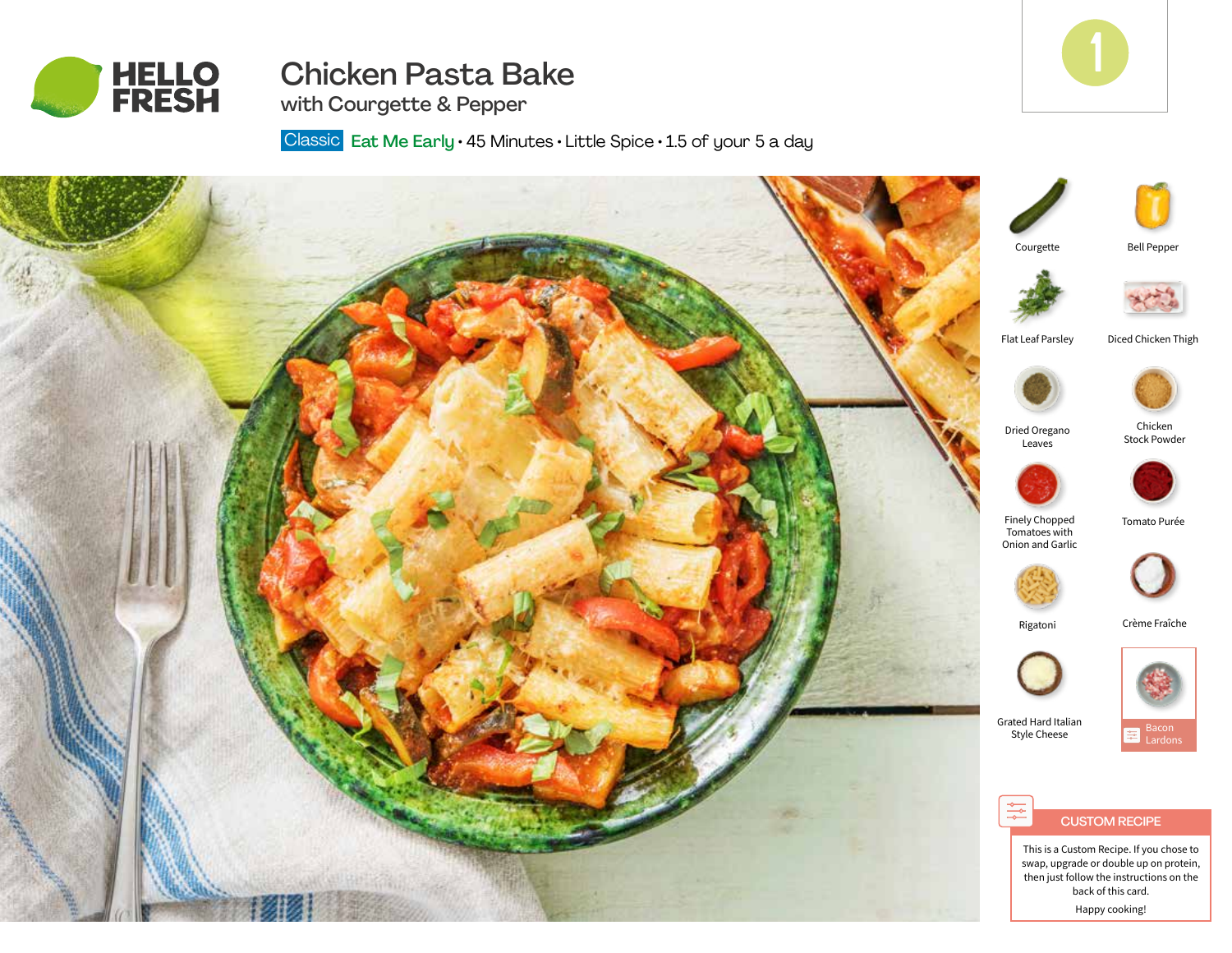

# Chicken Pasta Bake



Bell Pepper

Chicken Stock Powder

> Bacon Lardons

with Courgette & Pepper

Classic Eat Me Early · 45 Minutes · Little Spice · 1.5 of your 5 a day